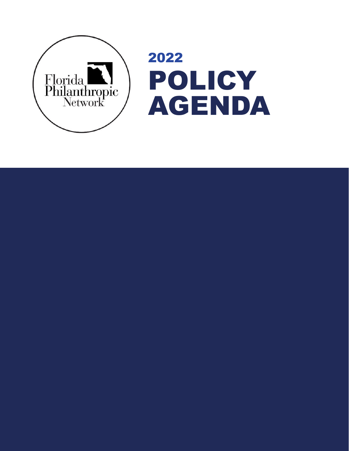

2022 POLICY AGENDA